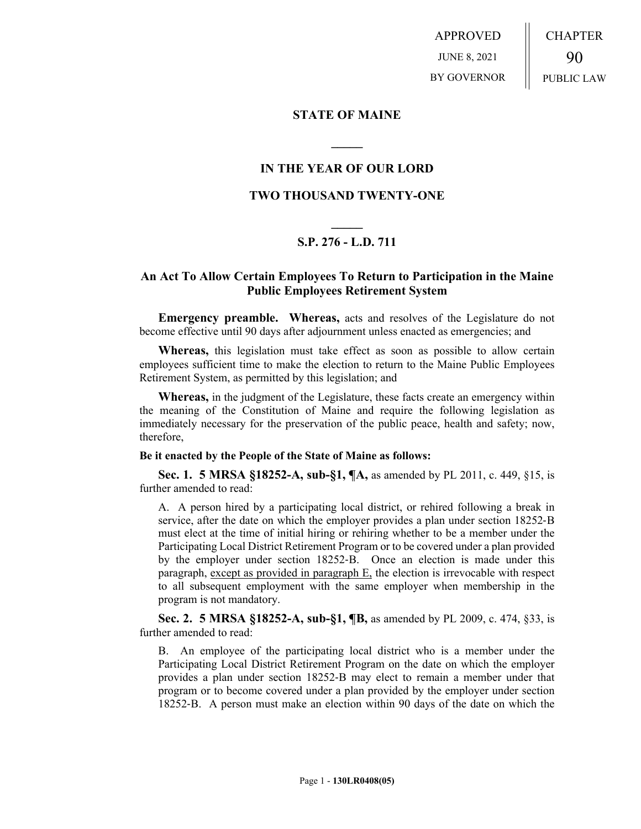APPROVED JUNE 8, 2021 BY GOVERNOR CHAPTER 90 PUBLIC LAW

## **STATE OF MAINE**

# **IN THE YEAR OF OUR LORD**

**\_\_\_\_\_**

## **TWO THOUSAND TWENTY-ONE**

# **\_\_\_\_\_ S.P. 276 - L.D. 711**

# **An Act To Allow Certain Employees To Return to Participation in the Maine Public Employees Retirement System**

**Emergency preamble. Whereas,** acts and resolves of the Legislature do not become effective until 90 days after adjournment unless enacted as emergencies; and

**Whereas,** this legislation must take effect as soon as possible to allow certain employees sufficient time to make the election to return to the Maine Public Employees Retirement System, as permitted by this legislation; and

**Whereas,** in the judgment of the Legislature, these facts create an emergency within the meaning of the Constitution of Maine and require the following legislation as immediately necessary for the preservation of the public peace, health and safety; now, therefore,

#### **Be it enacted by the People of the State of Maine as follows:**

**Sec. 1. 5 MRSA §18252-A, sub-§1, ¶A,** as amended by PL 2011, c. 449, §15, is further amended to read:

A. A person hired by a participating local district, or rehired following a break in service, after the date on which the employer provides a plan under section 18252-B must elect at the time of initial hiring or rehiring whether to be a member under the Participating Local District Retirement Program or to be covered under a plan provided by the employer under section 18252‑B. Once an election is made under this paragraph, except as provided in paragraph E, the election is irrevocable with respect to all subsequent employment with the same employer when membership in the program is not mandatory.

**Sec. 2. 5 MRSA §18252-A, sub-§1, ¶B,** as amended by PL 2009, c. 474, §33, is further amended to read:

B. An employee of the participating local district who is a member under the Participating Local District Retirement Program on the date on which the employer provides a plan under section 18252‑B may elect to remain a member under that program or to become covered under a plan provided by the employer under section 18252‑B. A person must make an election within 90 days of the date on which the